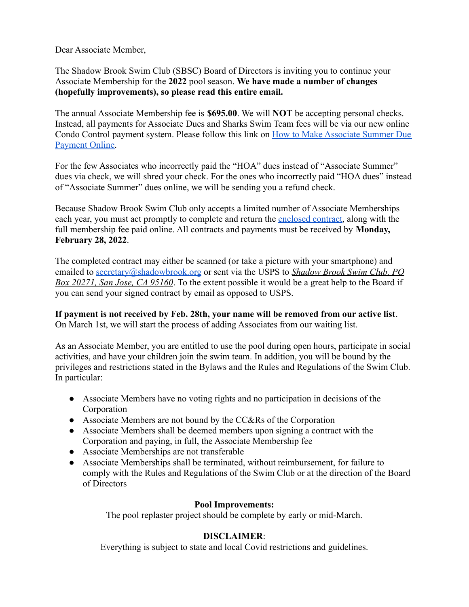Dear Associate Member,

The Shadow Brook Swim Club (SBSC) Board of Directors is inviting you to continue your Associate Membership for the **2022** pool season. **We have made a number of changes (hopefully improvements), so please read this entire email.**

The annual Associate Membership fee is **\$695.00**. We will **NOT** be accepting personal checks. Instead, all payments for Associate Dues and Sharks Swim Team fees will be via our new online Condo Control payment system. Please follow this link on [How to Make Associate Summer Due](https://www.shadowbrook.org/wp-content/uploads/2022/01/How-to-Make-Associate-Summer-Due-Payment-Online.pdf) [Payment Online.](https://www.shadowbrook.org/wp-content/uploads/2022/01/How-to-Make-Associate-Summer-Due-Payment-Online.pdf)

For the few Associates who incorrectly paid the "HOA" dues instead of "Associate Summer" dues via check, we will shred your check. For the ones who incorrectly paid "HOA dues" instead of "Associate Summer" dues online, we will be sending you a refund check.

Because Shadow Brook Swim Club only accepts a limited number of Associate Memberships each year, you must act promptly to complete and return the [enclosed contract](https://www.shadowbrook.org/wp-content/uploads/2022/01/Form-Associate-summer-contract-2022.pdf), along with the full membership fee paid online. All contracts and payments must be received by **Monday, February 28, 2022**.

The completed contract may either be scanned (or take a picture with your smartphone) and emailed to [secretary@shadowbrook.org](mailto:secretary@shadowbrook.org) or sent via the USPS to *Shadow Brook Swim Club, PO Box 20271, San Jose, CA 95160*. To the extent possible it would be a great help to the Board if you can send your signed contract by email as opposed to USPS.

**If payment is not received by Feb. 28th, your name will be removed from our active list**. On March 1st, we will start the process of adding Associates from our waiting list.

As an Associate Member, you are entitled to use the pool during open hours, participate in social activities, and have your children join the swim team. In addition, you will be bound by the privileges and restrictions stated in the Bylaws and the Rules and Regulations of the Swim Club. In particular:

- Associate Members have no voting rights and no participation in decisions of the Corporation
- Associate Members are not bound by the CC&Rs of the Corporation
- Associate Members shall be deemed members upon signing a contract with the Corporation and paying, in full, the Associate Membership fee
- Associate Memberships are not transferable
- Associate Memberships shall be terminated, without reimbursement, for failure to comply with the Rules and Regulations of the Swim Club or at the direction of the Board of Directors

## **Pool Improvements:**

The pool replaster project should be complete by early or mid-March.

## **DISCLAIMER**:

Everything is subject to state and local Covid restrictions and guidelines.